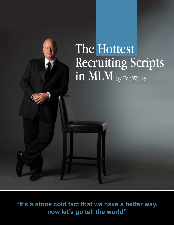## The Hottest Recruiting Scripts in MLM by Eric Worre

ww.NetworkMarketing

**"It's a stone cold fact that we have a better way, now let's go tell the world"**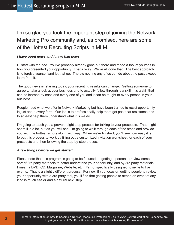I'm so glad you took the important step of joining the Network Marketing Pro community and, as promised, here are some of the Hottest Recruiting Scripts in MLM.

#### *I have good news and I have bad news.*

I'll start with the bad. You've probably already gone out there and made a fool of yourself in how you presented your opportunity. That's okay. We've all done that. The best approach is to forgive yourself and let that go. There's nothing any of us can do about the past except learn from it.

The good news is, starting today, your recruiting results can change. Getting someone to agree to take a look at your business and to actually follow through is a skill. It's a skill that can be learned by each and every one of you and it can be taught to every person in your business.

People need what we offer in Network Marketing but have been trained to resist opportunity in just about every form. Our job is to professionally help them get past that resistance and to at least help them understand what it is we do.

I'm going to teach you a proven, eight step process for talking to your prospects. That might seem like a lot, but as you will see, I'm going to walk through each of the steps and provide you with the hottest scripts along with way. When we're finished, you'll see how easy it is to put this process to work by filling out a customized invitation worksheet for each of your prospects and then following the step-by-step process.

#### *A few things before we get started…*

2

Please note that this program is going to be focused on getting a person to review some sort of 3rd party materials to better understand your opportunity, and by 3rd party materials I mean a DVD, CD, Magazine, Website, etc. It's not specifically designed to invite to live events. That is a slightly different process. For now, if you focus on getting people to review your opportunity with a 3rd party tool, you'll find that getting people to attend an event of any kind is much easier and a natural next step.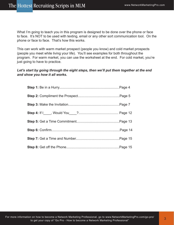What I'm going to teach you in this program is designed to be done over the phone or face to face. It's NOT to be used with texting, email or any other sort communication tool. On the phone or face to face. That's how this works.

This can work with warm market prospect (people you know) and cold market prospects (people you meet while living your life). You'll see examples for both throughout the program. For warm market, you can use the worksheet at the end. For cold market, you're just going to have to practice.

#### *Let's start by going through the eight steps, then we'll put them together at the end and show you how it all works.*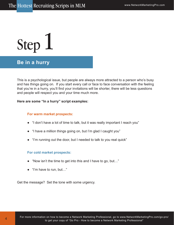## **Be in a hurry**

This is a psychological issue, but people are always more attracted to a person who's busy and has things going on. If you start every call or face to face conversation with the feeling that you're in a hurry, you'll find your invitations will be shorter, there will be less questions and people will respect you and your time much more.

#### **Here are some "In a hurry" script examples:**

#### **For warm market prospects:**

- "I don't have a lot of time to talk, but it was really important I reach you"
- "I have a million things going on, but I'm glad I caught you"
- "I'm running out the door, but I needed to talk to you real quick"

#### **For cold market prospects:**

- "Now isn't the time to get into this and I have to go, but…"
- "I'm have to run, but…"

4

Get the message? Set the tone with some urgency.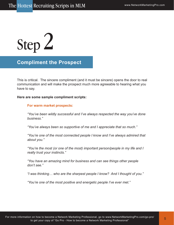### **Compliment the Prospect**

This is critical. The sincere compliment (and it must be sincere) opens the door to real communication and will make the prospect much more agreeable to hearing what you have to say.

**Here are some sample compliment scripts:**

#### **For warm market prospects:**

*"You've been wildly successful and I've always respected the way you've done business."*

*"You've always been so supportive of me and I appreciate that so much."*

*"You're one of the most connected people I know and I've always admired that about you."*

*"You're the most (or one of the most) important person/people in my life and I really trust your instincts."*

*"You have an amazing mind for business and can see things other people don't see."*

*"I was thinking… who are the sharpest people I know? And I thought of you."*

*"You're one of the most positive and energetic people I've ever met."*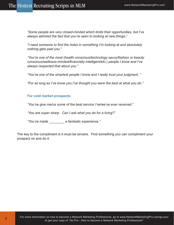*"Some people are very closed-minded which limits their opportunities, but I've always admired the fact that you're open to looking at new things."*

*"I need someone to find the holes in something I'm looking at and absolutely nothing gets past you."*

*"You're one of the most (health conscious/technology savvy/fashion or beauty conscious/wellness-minded/financially intelligent/etc.) people I know and I've always respected that about you."*

*"You're one of the smartest people I know and I really trust your judgment. "*

*"For as long as I've know you I've thought you were the best at what you do."*

#### **For cold market prospects:**

6

*"You've give me/us some of the best service I've/we've ever received."*

*"You are super sharp. Can I ask what you do for a living?"*

*"You've made \_\_\_\_\_\_\_\_ a fantastic experience."*

The key to the compliment is it must be sincere. Find something you can compliment your prospect on and do it.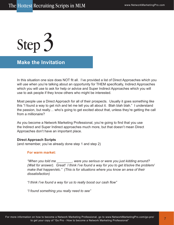### **Make the Invitation**

In this situation one size does NOT fit all. I've provided a list of Direct Approaches which you will use when you're talking about an opportunity for THEM specifically, Indirect Approaches which you will use to ask for help or advice and Super Indirect Approaches which you will use to ask people if they know others who might be interested.

Most people use a Direct Approach for all of their prospects. Usually it goes something like this "I found a way to get rich and let me tell you all about it. Blah blah blah." I understand the passion, but really… who's going to get excited about that, unless they're getting the call from a millionaire?

As you become a Network Marketing Professional, you're going to find that you use the Indirect and Super Indirect approaches much more, but that doesn't mean Direct Approaches don't have an important place.

#### **Direct Approach Scripts**

(and remember, you've already done step 1 and step 2)

#### **For warm market:**

*"When you told me \_\_\_\_\_\_\_\_, were you serious or were you just kidding around? (Wait for answer). Great! I think I've found a way for you to get it/solve the problem/ make that happen/etc." (This is for situations where you know an area of their dissatisfaction)*

*"I think I've found a way for us to really boost our cash flow"*

*"I found something you really need to see"*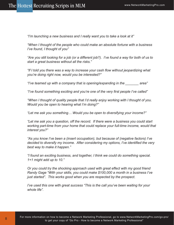*"I'm launching a new business and I really want you to take a look at it"*

*"When I thought of the people who could make an absolute fortune with a business I've found, I thought of you"*

*"Are you still looking for a job (or a different job?). I've found a way for both of us to start a great business without all the risks."*

*"If I told you there was a way to increase your cash flow without jeopardizing what you're doing right now, would you be interested?"*

*"I've teamed up with a company that is opening/expanding in the \_\_\_\_\_\_\_ area"*

*"I've found something exciting and you're one of the very first people I've called"*

*"When I thought of quality people that I'd really enjoy working with I thought of you. Would you be open to hearing what I'm doing?"*

*"Let me ask you something… Would you be open to diversifying your income?"*

*"Let me ask you a question, off the record. If there were a business you could start working part-time from your home that could replace your full-time income, would that interest you?"*

*"As you know I've been a (insert occupation), but because of (negative factors) I've decided to diversify my income. After considering my options, I've identified the very best way to make it happen."*

*"I found an exciting business, and together, I think we could do something special. 1+1 might add up to 10."*

*Or you could try the shocking approach used with great effect with my good friend Randy Gage "With your skills, you could make \$100,000 a month in a business I've just started". This works good when you are respected by the prospect.*

*I've used this one with great success "This is the call you've been waiting for your whole life".*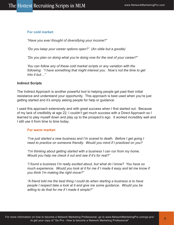#### **For cold market:**

*"Have you ever thought of diversifying your income?"*

*"Do you keep your career options open?" (An oldie but a goodie)*

*"Do you plan on doing what you're doing now for the rest of your career?"*

*You can follow any of these cold market scripts or any variation with the following: "I have something that might interest you. Now's not the time to get into it but…"*

#### **Indirect Scripts**

The Indirect Approach is another powerful tool to helping people get past their initial resistance and understand your opportunity. This approach is best used when you're just getting started and it's simply asking people for help or guidance.

I used this approach extensively and with great success when I first started out. Because of my lack of credibility at age 22, I couldn't get much success with a Direct Approach so I learned to play myself down and play up to the prospect's ego. It worked incredibly well and I still use it from time to time today.

#### **For warm market:**

*"I've just started a new business and I'm scared to death. Before I get going I need to practice on someone friendly. Would you mind if I practiced on you?*

*"I'm thinking about getting started with a business I can run from my home. Would you help me check it out and see if it's for real?"*

*"I found a business I'm really excited about, but what do I know? You have so much experience. Would you look at it for me if I made it easy and let me know if you think I'm making the right move?"*

*"A friend told me the best thing I could do when starting a business is to have people I respect take a look at it and give me some guidance. Would you be willing to do that for me if I made it simple?"*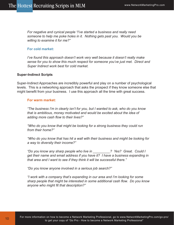*For negative and cynical people "I've started a business and really need someone to help me poke holes in it. Nothing gets past you. Would you be willing to examine it for me?"*

#### **For cold market:**

*I've found this approach doesn't work very well because it doesn't really make sense for you to show this much respect for someone you've just met. Direct and Super Indirect work best for cold market.*

#### **Super-Indirect Scripts**

10

Super-Indirect Approaches are incredibly powerful and play on a number of psychological levels. This is a networking approach that asks the prospect if they know someone else that might benefit from your business. I use this approach all the time with great success.

#### **For warm market:**

*"The business I'm in clearly isn't for you, but I wanted to ask, who do you know that is ambitious, money motivated and would be excited about the idea of adding more cash flow to their lives?"*

*"Who do you know that might be looking for a strong business they could run from their home?"*

*"Who do you know that has hit a wall with their business and might be looking for a way to diversity their income?"*

*"Do you know any sharp people who live in \_\_\_\_\_\_\_\_\_? Yes? Great. Could I get their name and email address if you have it? I have a business expanding in that area and I want to see if they think it will be successful there."*

*"Do you know anyone involved in a serious job search?"*

*"I work with a company that's expanding in our area and I'm looking for some sharp people that might be interested in some additional cash flow. Do you know anyone who might fit that description?"*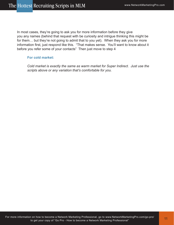In most cases, they're going to ask you for more information before they give you any names (behind that request with be curiosity and intrigue thinking this might be for them… but they're not going to admit that to you yet). When they ask you for more information first, just respond like this. "That makes sense. You'll want to know about it before you refer some of your contacts" Then just move to step 4

#### **For cold market:**

*Cold market is exactly the same as warm market for Super Indirect. Just use the scripts above or any variation that's comfortable for you.*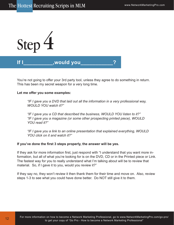

You're not going to offer your 3rd party tool, unless they agree to do something in return. This has been my secret weapon for a very long time.

#### **Let me offer you some examples:**

*"IF I gave you a DVD that laid out all the information in a very professional way, WOULD YOU watch it?"*

*"IF I gave you a CD that described the business, WOULD YOU listen to it?" "IF I gave you a magazine (or some other prospecting printed piece), WOULD YOU read it?"*

*"IF I gave you a link to an online presentation that explained everything, WOULD YOU click on it and watch it?"*

#### **If you've done the first 3 steps properly, the answer will be yes.**

If they ask for more information first, just respond with "I understand that you want more information, but all of what you're looking for is on the DVD, CD or in the Printed piece or Link. The fastest way for you to really understand what I'm talking about will be to review that material. So, if I gave it to you, would you review it?"

If they say no, they won't review it then thank them for their time and move on. Also, review steps 1-3 to see what you could have done better. Do NOT still give it to them.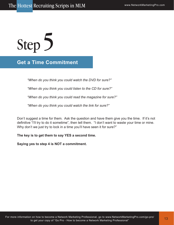### **Get a Time Commitment**

*"When do you think you could watch the DVD for sure?"*

*"When do you think you could listen to the CD for sure?"*

*"When do you think you could read the magazine for sure?"*

*"When do you think you could watch the link for sure?"*

Don't suggest a time for them. Ask the question and have them give you the time. If it's not definitive "I'll try to do it sometime", then tell them. "I don't want to waste your time or mine. Why don't we just try to lock in a time you'll have seen it for sure?"

**The key is to get them to say YES a second time.** 

**Saying yes to step 4 is NOT a commitment.**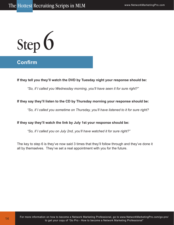## **Confirm**

14

#### **If they tell you they'll watch the DVD by Tuesday night your response should be:**

*"So, if I called you Wednesday morning, you'll have seen it for sure right?"*

#### **If they say they'll listen to the CD by Thursday morning your response should be:**

*"So, if I called you sometime on Thursday, you'll have listened to it for sure right?*

#### **If they say they'll watch the link by July 1st your response should be:**

*"So, if I called you on July 2nd, you'll have watched it for sure right?"*

The key to step 6 is they've now said 3 times that they'll follow through and they've done it all by themselves. They've set a real appointment with you for the future.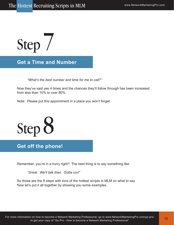Step 7

**Get a Time and Number**

*"What's the best number and time for me to call?"*

Now they've said yes 4 times and the chances they'll follow through has been increased from less than 10% to over 80%.

Note: Please put this appointment in a place you won't forget.



### **Get off the phone!**

Remember, you're in a hurry right? The best thing is to say something like

*"Great. We'll talk then. Gotta run!"*

So those are the 8 steps with tons of the hottest scripts in MLM on what to say. Now let's put it all together by showing you some examples.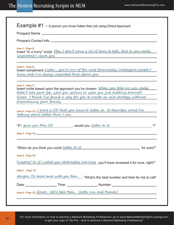|                                                  |                                                | <b>Example <math>#1 - A</math></b> person you know hates their job using Direct Approach                                                                   |    |
|--------------------------------------------------|------------------------------------------------|------------------------------------------------------------------------------------------------------------------------------------------------------------|----|
|                                                  |                                                |                                                                                                                                                            |    |
|                                                  |                                                |                                                                                                                                                            |    |
| $(s_{top} 1 - Page 4)$<br>important I reach you. |                                                | Insert "In a hurry" script Hey, I don't have a lot of time to talk, but it was really                                                                      |    |
| $(\text{step } 2 - \text{Page } 5)$              | know and I've always respected that about you. | Insert compliment Listen, you're one of the most financially intelligent people I                                                                          |    |
| $(s_{top} 3 - Page 7)$                           |                                                | Insert invite based upon the approach you've chosen When you told me you really<br>didn't like your job, were you serious or were you just kidding around? |    |
|                                                  |                                                | Great. I think I've found a way for you to create an exit strategy without                                                                                 |    |
| jeopardizing your family.                        |                                                |                                                                                                                                                            |    |
|                                                  | talking about better than I can.               | (step 4-Page 12) I have a CD that you have to listen to. It describes what I'm                                                                             |    |
|                                                  |                                                | "If I gave you this CD , would you listen to it                                                                                                            | 2" |
|                                                  |                                                |                                                                                                                                                            |    |
|                                                  |                                                |                                                                                                                                                            |    |
| (step 6 - Page 14)                               |                                                |                                                                                                                                                            |    |
|                                                  |                                                | Tuesday? So if I called you Wednesday morning, you'll have reviewed it for sure, right?"                                                                   |    |
| (step 7 - Page 15)                               |                                                |                                                                                                                                                            |    |
|                                                  |                                                | Alright, I'll check back with you then. "What's the best number and time for me to call"                                                                   |    |
|                                                  |                                                | Date: ______________________Time: _________________________Number: _________________________________                                                       |    |
|                                                  |                                                |                                                                                                                                                            |    |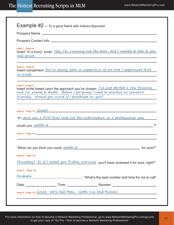| (step 1 - Page 4)<br>real quick.                  |                                                 | Insert "In a hurry" script Hey, I'm running out the door, but I needed to talk to you                                                                                    |
|---------------------------------------------------|-------------------------------------------------|--------------------------------------------------------------------------------------------------------------------------------------------------------------------------|
| $(s_{\text{top}} 2 - \text{Page } 5)$<br>so much. |                                                 | Insert compliment You've always been so supportive of me and I appreciate that<br><u> 1989 - Johann Barn, amerikansk politiker (d. 1989)</u>                             |
| $(\text{step } 3 - \text{Page } 7)$               |                                                 | Insert invite based upon the approach you've chosen <i>I've just started a new business</i><br>and I'm scared to death. Before I get going I need to practice on someone |
|                                                   |                                                 |                                                                                                                                                                          |
|                                                   | friendly. Would you mind if I practiced on you? | $(\text{step 4 - Page 12})$ $\frac{Great!}{$                                                                                                                             |
| would you watch it                                |                                                 | "If I gave you a DVD that laid out the information in a professional way                                                                                                 |
|                                                   |                                                 | 2"                                                                                                                                                                       |
|                                                   | "When do you think you could watch it           |                                                                                                                                                                          |
| (step 6 - Page 14)                                |                                                 | <b>Example 2 and 2 and 2 and 2 and 2 and 2 and 2 and 2 and 2 and 2 and 2 and 2 and 2 and 2 and 2 and 2 and 2 and 2</b>                                                   |
|                                                   |                                                 |                                                                                                                                                                          |
| (step 7 - Page 15)                                |                                                 |                                                                                                                                                                          |
| Fantastic                                         |                                                 | Thursday? So if I called you Friday morning, you'll have reviewed it for sure, right?"<br>"What's the best number and time for me to call"                               |
|                                                   |                                                 |                                                                                                                                                                          |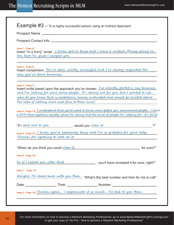**Example**  $#3 -$  To a highly successful person using an Indirect Approach

Prospect Name

Prospect Contact Info **contact information** and the prospect Contact Info

#### **(step 1 - Page 4)**

Insert "In a hurry" script  **I know you're busy and I have a million things going on too, but I'm glad I caught you.**

#### **(step 2 - Page 5)**

Insert compliment  **You've been wildly successful and I've always respected the way you've done business.**

**(step 3 - Page 7)**

Insert invite based upon the approach you've chosen  $\Gamma$  is recently started a new business **and I'm looking for some sharp people. It 's clearly not for you, but I wanted to ask , who do you know that is ambitious, money motivated and would be excited about the idea of adding more cash flow to their lives?**

**(step 4 - Page 12) I understand that you'd want to know more before you recommend people. I have a DVD that explains exactly what I'm doing and the kind of people I'm looking for. It 's brief.** 

| , would you view it<br>"If I sent one to you                                                                           | $\bigcap$  |
|------------------------------------------------------------------------------------------------------------------------|------------|
| (step 5-Page 13) I know you're extremely busy and I'm so grateful for your help.<br>Thanks for agreeing to look at it. |            |
| "When do you think you could view it                                                                                   | for sure?" |

**(step 6 - Page 14)**

, you'll have reviewed it for sure, right?" **So if I called you after that**

**(step 7 - Page 15)**

|  | Aright, I'll check back with you then. "What's the best number and time for me to re" |
|--|---------------------------------------------------------------------------------------|
|--|---------------------------------------------------------------------------------------|

| Date:<br>Number <sup>.</sup><br>ime: |  |
|--------------------------------------|--|
|--------------------------------------|--|

**(step 8 - Page 15) Thanks again . I appreciate it so much . I'll talk to you then .**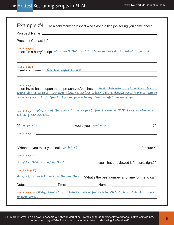|                                          | <b>Example #4</b> $-$ To a cold market prospect who's done a fine job selling you some shoes                                                                                                                                                   |
|------------------------------------------|------------------------------------------------------------------------------------------------------------------------------------------------------------------------------------------------------------------------------------------------|
|                                          |                                                                                                                                                                                                                                                |
|                                          |                                                                                                                                                                                                                                                |
| (step 1 - Page 4)                        | Insert "In a hurry" script Now isn't the time to get into this and I have to go but                                                                                                                                                            |
| $(\text{step } 2 - \text{Page } 5)$      | Insert compliment You are super sharp contained to the contact of the state of the state of the state of the state of the state of the state of the state of the state of the state of the state of the state of the state of                  |
| $(s_{top} 3 - Page 7)$                   | Insert invite based upon the approach you've chosen and I happen to be looking for<br><u>some sharp people. Do you plan on doing what you're doing now for the rest of</u><br>your career? No? Good. I have something that might interest you. |
|                                          |                                                                                                                                                                                                                                                |
|                                          | the control of the control of the control of the control of the control of the control of<br>"If I gave it to you can be used to watch it                                                                                                      |
| all in great detail.                     | (step 4-Page 12) Now's not the time to get into it, but I have a DVD that explains it<br>2"                                                                                                                                                    |
|                                          | "When do you think you could watch it the contract of the state?"                                                                                                                                                                              |
|                                          |                                                                                                                                                                                                                                                |
|                                          |                                                                                                                                                                                                                                                |
|                                          | So if I called you after that you is not all that a set of the sure, right?"                                                                                                                                                                   |
| (step 6 - Page 14)<br>(step 7 - Page 15) | Alright, I'll check back with you then. "What's the best number and time for me to call"                                                                                                                                                       |
|                                          |                                                                                                                                                                                                                                                |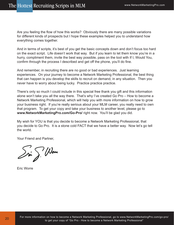Are you feeling the flow of how this works? Obviously there are many possible variations for different kinds of prospects but I hope these examples helped you to understand how everything comes together.

And in terms of scripts, it's best of you get the basic concepts down and don't focus too hard on the exact script. Life doesn't work that way. But if you learn to let them know you're in a hurry, compliment them, invite the best way possible, pass on the tool with If I, Would You, confirm through the process I described and get off the phone, you'll do fine.

And remember, in recruiting there are no good or bad experiences. Just learning experiences. On your journey to become a Network Marketing Professional, the best thing that can happen is you develop the skills to recruit on demand, in any situation. Then you never have to worry about being lucky. Practice practice practice.

There's only so much I could include in this special free thank you gift and this information alone won't take you all the way there. That's why I've created Go Pro – How to become a Network Marketing Professional, which will help you with more information on how to grow your business right. If you're really serious about your MLM career, you really need to own that program. To get your copy and take your business to another level, please go to **www.NetworkMarketingPro.com/Go-Pro/** right now. You'll be glad you did.

My wish for YOU is that you decide to become a Network Marketing Professional, that you decide to Go Pro. It is a stone cold FACT that we have a better way. Now let's go tell the world.

Your Friend and Partner,

 $\mathcal{S}$ ri  $\mathcal{S}^{\prime}$  (Nove

Eric Worre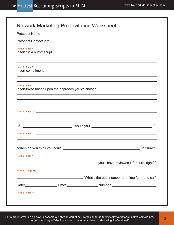| $(\text{step } 1 - \text{Page } 4)$ |                                                                                                        |
|-------------------------------------|--------------------------------------------------------------------------------------------------------|
| (step 2 - Page 5)                   |                                                                                                        |
| (step 3 - Page 7)                   |                                                                                                        |
|                                     |                                                                                                        |
|                                     |                                                                                                        |
|                                     |                                                                                                        |
|                                     |                                                                                                        |
|                                     |                                                                                                        |
| (step 6 - Page 14)                  |                                                                                                        |
|                                     |                                                                                                        |
| (step 7 - Page 15)                  |                                                                                                        |
|                                     | "What's the best number and time for me to call" والله "What's the best number and time for me to call |
|                                     |                                                                                                        |